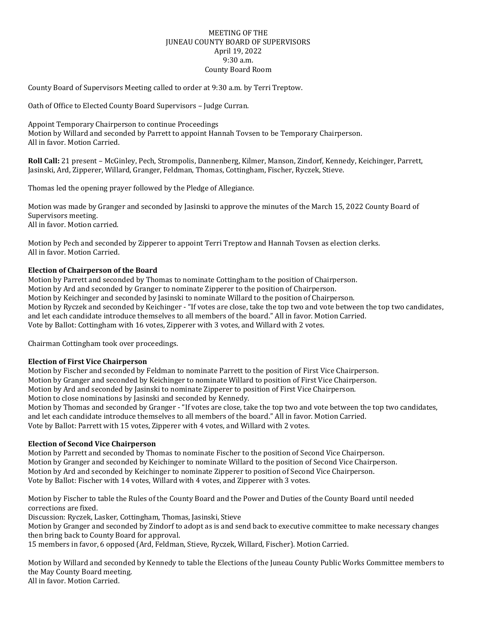## MEETING OF THE JUNEAU COUNTY BOARD OF SUPERVISORS April 19, 2022 9:30 a.m. County Board Room

County Board of Supervisors Meeting called to order at 9:30 a.m. by Terri Treptow.

Oath of Office to Elected County Board Supervisors – Judge Curran.

Appoint Temporary Chairperson to continue Proceedings Motion by Willard and seconded by Parrett to appoint Hannah Tovsen to be Temporary Chairperson. All in favor. Motion Carried.

**Roll Call:** 21 present – McGinley, Pech, Strompolis, Dannenberg, Kilmer, Manson, Zindorf, Kennedy, Keichinger, Parrett, Jasinski, Ard, Zipperer, Willard, Granger, Feldman, Thomas, Cottingham, Fischer, Ryczek, Stieve.

Thomas led the opening prayer followed by the Pledge of Allegiance.

Motion was made by Granger and seconded by Jasinski to approve the minutes of the March 15, 2022 County Board of Supervisors meeting. All in favor. Motion carried.

Motion by Pech and seconded by Zipperer to appoint Terri Treptow and Hannah Tovsen as election clerks. All in favor. Motion Carried.

## **Election of Chairperson of the Board**

Motion by Parrett and seconded by Thomas to nominate Cottingham to the position of Chairperson. Motion by Ard and seconded by Granger to nominate Zipperer to the position of Chairperson. Motion by Keichinger and seconded by Jasinski to nominate Willard to the position of Chairperson. Motion by Ryczek and seconded by Keichinger - "If votes are close, take the top two and vote between the top two candidates, and let each candidate introduce themselves to all members of the board." All in favor. Motion Carried. Vote by Ballot: Cottingham with 16 votes, Zipperer with 3 votes, and Willard with 2 votes.

Chairman Cottingham took over proceedings.

## **Election of First Vice Chairperson**

Motion by Fischer and seconded by Feldman to nominate Parrett to the position of First Vice Chairperson. Motion by Granger and seconded by Keichinger to nominate Willard to position of First Vice Chairperson. Motion by Ard and seconded by Jasinski to nominate Zipperer to position of First Vice Chairperson. Motion to close nominations by Jasinski and seconded by Kennedy. Motion by Thomas and seconded by Granger - "If votes are close, take the top two and vote between the top two candidates, and let each candidate introduce themselves to all members of the board." All in favor. Motion Carried.

Vote by Ballot: Parrett with 15 votes, Zipperer with 4 votes, and Willard with 2 votes.

## **Election of Second Vice Chairperson**

Motion by Parrett and seconded by Thomas to nominate Fischer to the position of Second Vice Chairperson. Motion by Granger and seconded by Keichinger to nominate Willard to the position of Second Vice Chairperson. Motion by Ard and seconded by Keichinger to nominate Zipperer to position of Second Vice Chairperson. Vote by Ballot: Fischer with 14 votes, Willard with 4 votes, and Zipperer with 3 votes.

Motion by Fischer to table the Rules of the County Board and the Power and Duties of the County Board until needed corrections are fixed.

Discussion: Ryczek, Lasker, Cottingham, Thomas, Jasinski, Stieve

Motion by Granger and seconded by Zindorf to adopt as is and send back to executive committee to make necessary changes then bring back to County Board for approval.

15 members in favor, 6 opposed (Ard, Feldman, Stieve, Ryczek, Willard, Fischer). Motion Carried.

Motion by Willard and seconded by Kennedy to table the Elections of the Juneau County Public Works Committee members to the May County Board meeting. All in favor. Motion Carried.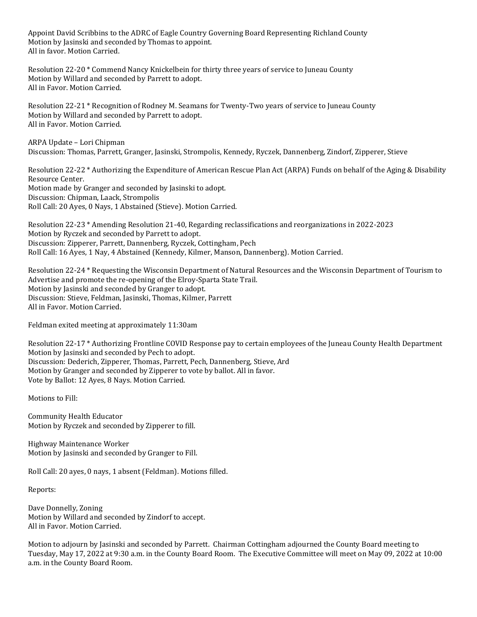Appoint David Scribbins to the ADRC of Eagle Country Governing Board Representing Richland County Motion by Jasinski and seconded by Thomas to appoint. All in favor. Motion Carried.

Resolution 22-20 \* Commend Nancy Knickelbein for thirty three years of service to Juneau County Motion by Willard and seconded by Parrett to adopt. All in Favor. Motion Carried.

Resolution 22-21 \* Recognition of Rodney M. Seamans for Twenty-Two years of service to Juneau County Motion by Willard and seconded by Parrett to adopt. All in Favor. Motion Carried.

ARPA Update – Lori Chipman Discussion: Thomas, Parrett, Granger, Jasinski, Strompolis, Kennedy, Ryczek, Dannenberg, Zindorf, Zipperer, Stieve

Resolution 22-22 \* Authorizing the Expenditure of American Rescue Plan Act (ARPA) Funds on behalf of the Aging & Disability Resource Center. Motion made by Granger and seconded by Jasinski to adopt. Discussion: Chipman, Laack, Strompolis Roll Call: 20 Ayes, 0 Nays, 1 Abstained (Stieve). Motion Carried.

Resolution 22-23 \* Amending Resolution 21-40, Regarding reclassifications and reorganizations in 2022-2023 Motion by Ryczek and seconded by Parrett to adopt. Discussion: Zipperer, Parrett, Dannenberg, Ryczek, Cottingham, Pech Roll Call: 16 Ayes, 1 Nay, 4 Abstained (Kennedy, Kilmer, Manson, Dannenberg). Motion Carried.

Resolution 22-24 \* Requesting the Wisconsin Department of Natural Resources and the Wisconsin Department of Tourism to Advertise and promote the re-opening of the Elroy-Sparta State Trail. Motion by Jasinski and seconded by Granger to adopt. Discussion: Stieve, Feldman, Jasinski, Thomas, Kilmer, Parrett All in Favor. Motion Carried.

Feldman exited meeting at approximately 11:30am

Resolution 22-17 \* Authorizing Frontline COVID Response pay to certain employees of the Juneau County Health Department Motion by Jasinski and seconded by Pech to adopt. Discussion: Dederich, Zipperer, Thomas, Parrett, Pech, Dannenberg, Stieve, Ard Motion by Granger and seconded by Zipperer to vote by ballot. All in favor. Vote by Ballot: 12 Ayes, 8 Nays. Motion Carried.

Motions to Fill:

Community Health Educator Motion by Ryczek and seconded by Zipperer to fill.

Highway Maintenance Worker Motion by Jasinski and seconded by Granger to Fill.

Roll Call: 20 ayes, 0 nays, 1 absent (Feldman). Motions filled.

Reports:

Dave Donnelly, Zoning Motion by Willard and seconded by Zindorf to accept. All in Favor. Motion Carried.

Motion to adjourn by Jasinski and seconded by Parrett. Chairman Cottingham adjourned the County Board meeting to Tuesday, May 17, 2022 at 9:30 a.m. in the County Board Room. The Executive Committee will meet on May 09, 2022 at 10:00 a.m. in the County Board Room.